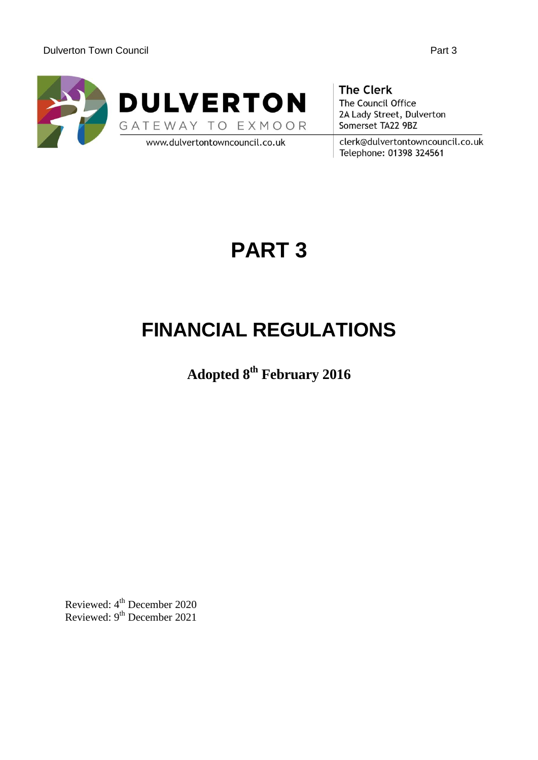

**The Clerk** The Council Office 2A Lady Street, Dulverton Somerset TA22 9BZ

clerk@dulvertontowncouncil.co.uk Telephone: 01398 324561

# **PART 3**

# **FINANCIAL REGULATIONS**

**Adopted 8th February 2016**

Reviewed: 4<sup>th</sup> December 2020 Reviewed: 9<sup>th</sup> December 2021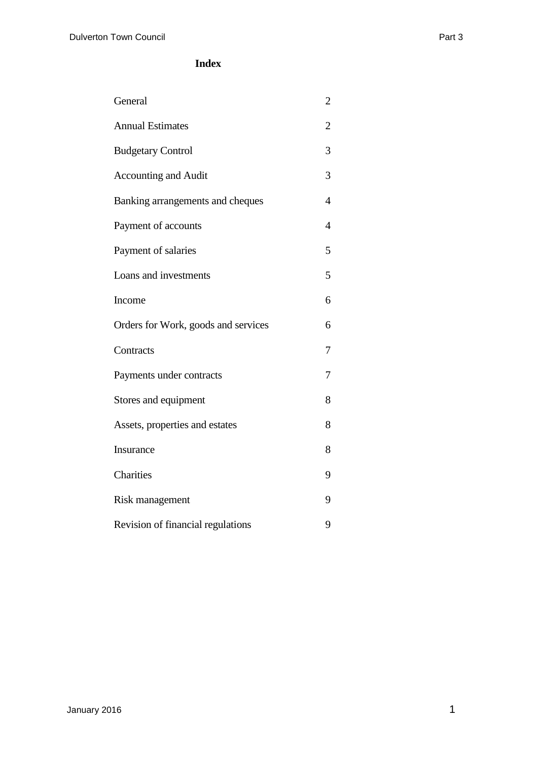#### **Index**

| General                             | $\overline{2}$ |
|-------------------------------------|----------------|
| <b>Annual Estimates</b>             | 2              |
| <b>Budgetary Control</b>            | 3              |
| <b>Accounting and Audit</b>         | 3              |
| Banking arrangements and cheques    | 4              |
| Payment of accounts                 | 4              |
| Payment of salaries                 | 5              |
| Loans and investments               | 5              |
| Income                              | 6              |
| Orders for Work, goods and services | 6              |
| Contracts                           | 7              |
| Payments under contracts            | 7              |
| Stores and equipment                | 8              |
| Assets, properties and estates      | 8              |
| Insurance                           | 8              |
| Charities                           | 9              |
| Risk management                     | 9              |
| Revision of financial regulations   | 9              |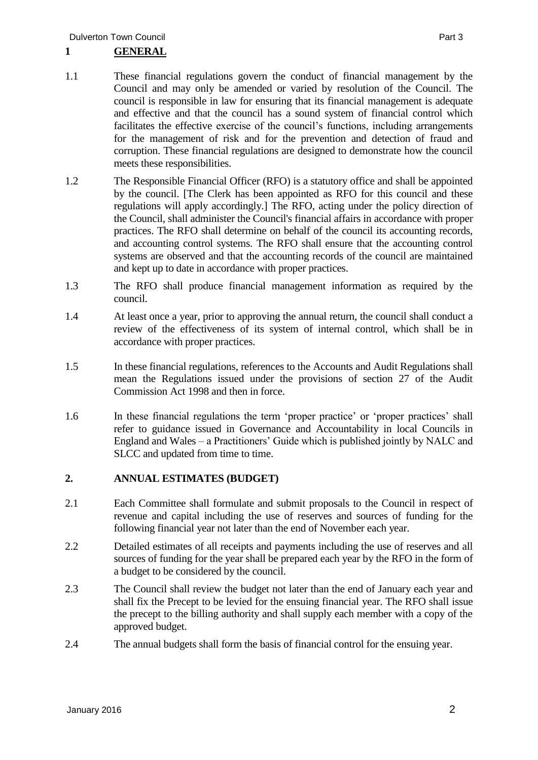# **1 GENERAL**

- 
- 1.1 These financial regulations govern the conduct of financial management by the Council and may only be amended or varied by resolution of the Council. The council is responsible in law for ensuring that its financial management is adequate and effective and that the council has a sound system of financial control which facilitates the effective exercise of the council's functions, including arrangements for the management of risk and for the prevention and detection of fraud and corruption. These financial regulations are designed to demonstrate how the council meets these responsibilities.
- 1.2 The Responsible Financial Officer (RFO) is a statutory office and shall be appointed by the council. [The Clerk has been appointed as RFO for this council and these regulations will apply accordingly.] The RFO, acting under the policy direction of the Council, shall administer the Council's financial affairs in accordance with proper practices. The RFO shall determine on behalf of the council its accounting records, and accounting control systems. The RFO shall ensure that the accounting control systems are observed and that the accounting records of the council are maintained and kept up to date in accordance with proper practices.
- 1.3 The RFO shall produce financial management information as required by the council.
- 1.4 At least once a year, prior to approving the annual return, the council shall conduct a review of the effectiveness of its system of internal control, which shall be in accordance with proper practices.
- 1.5 In these financial regulations, references to the Accounts and Audit Regulations shall mean the Regulations issued under the provisions of section 27 of the Audit Commission Act 1998 and then in force.
- 1.6 In these financial regulations the term 'proper practice' or 'proper practices' shall refer to guidance issued in Governance and Accountability in local Councils in England and Wales – a Practitioners' Guide which is published jointly by NALC and SLCC and updated from time to time.

#### **2. ANNUAL ESTIMATES (BUDGET)**

- 2.1 Each Committee shall formulate and submit proposals to the Council in respect of revenue and capital including the use of reserves and sources of funding for the following financial year not later than the end of November each year.
- 2.2 Detailed estimates of all receipts and payments including the use of reserves and all sources of funding for the year shall be prepared each year by the RFO in the form of a budget to be considered by the council.
- 2.3 The Council shall review the budget not later than the end of January each year and shall fix the Precept to be levied for the ensuing financial year. The RFO shall issue the precept to the billing authority and shall supply each member with a copy of the approved budget.
- 2.4 The annual budgets shall form the basis of financial control for the ensuing year.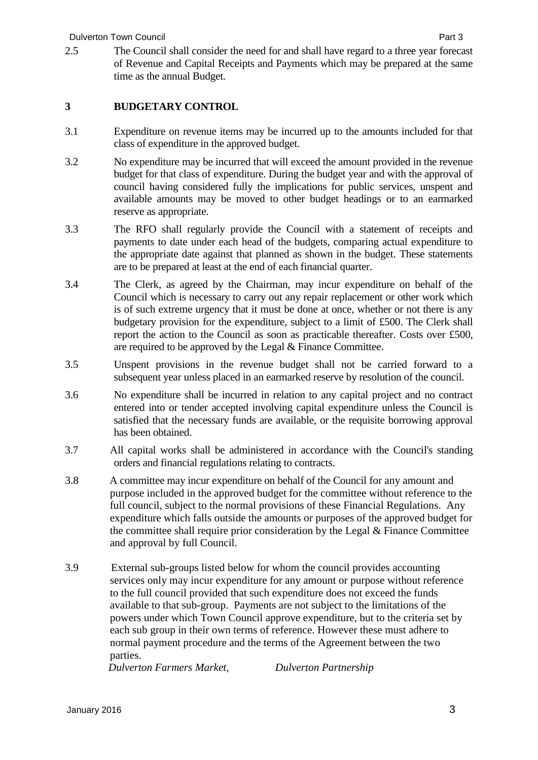#### **3 BUDGETARY CONTROL**

- 3.1 Expenditure on revenue items may be incurred up to the amounts included for that class of expenditure in the approved budget.
- 3.2 No expenditure may be incurred that will exceed the amount provided in the revenue budget for that class of expenditure. During the budget year and with the approval of council having considered fully the implications for public services, unspent and available amounts may be moved to other budget headings or to an earmarked reserve as appropriate.
- 3.3 The RFO shall regularly provide the Council with a statement of receipts and payments to date under each head of the budgets, comparing actual expenditure to the appropriate date against that planned as shown in the budget. These statements are to be prepared at least at the end of each financial quarter.
- 3.4 The Clerk, as agreed by the Chairman, may incur expenditure on behalf of the Council which is necessary to carry out any repair replacement or other work which is of such extreme urgency that it must be done at once, whether or not there is any budgetary provision for the expenditure, subject to a limit of £500. The Clerk shall report the action to the Council as soon as practicable thereafter. Costs over £500, are required to be approved by the Legal & Finance Committee.
- 3.5 Unspent provisions in the revenue budget shall not be carried forward to a subsequent year unless placed in an earmarked reserve by resolution of the council.
- 3.6 No expenditure shall be incurred in relation to any capital project and no contract entered into or tender accepted involving capital expenditure unless the Council is satisfied that the necessary funds are available, or the requisite borrowing approval has been obtained.
- 3.7 All capital works shall be administered in accordance with the Council's standing orders and financial regulations relating to contracts.
- 3.8 A committee may incur expenditure on behalf of the Council for any amount and purpose included in the approved budget for the committee without reference to the full council, subject to the normal provisions of these Financial Regulations. Any expenditure which falls outside the amounts or purposes of the approved budget for the committee shall require prior consideration by the Legal & Finance Committee and approval by full Council.
- 3.9 External sub-groups listed below for whom the council provides accounting services only may incur expenditure for any amount or purpose without reference to the full council provided that such expenditure does not exceed the funds available to that sub-group. Payments are not subject to the limitations of the powers under which Town Council approve expenditure, but to the criteria set by each sub group in their own terms of reference. However these must adhere to normal payment procedure and the terms of the Agreement between the two parties.

*Dulverton Farmers Market, Dulverton Partnership*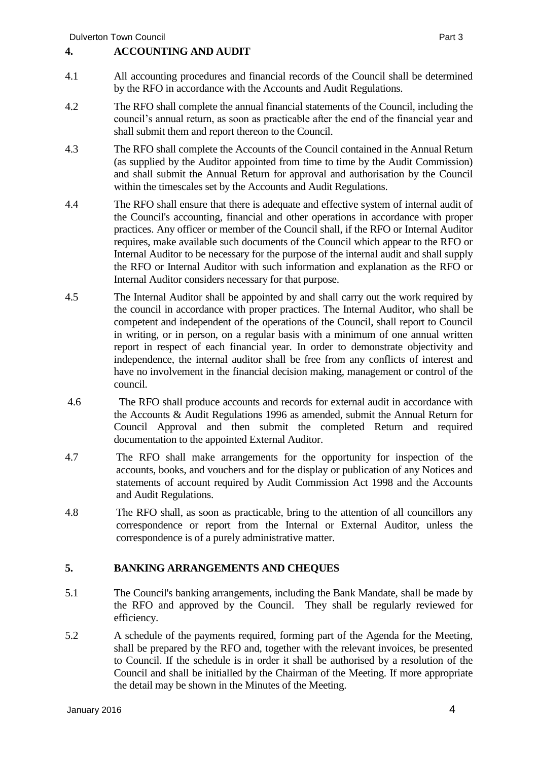#### **4. ACCOUNTING AND AUDIT**

- 4.1 All accounting procedures and financial records of the Council shall be determined by the RFO in accordance with the Accounts and Audit Regulations.
- 4.2 The RFO shall complete the annual financial statements of the Council, including the council's annual return, as soon as practicable after the end of the financial year and shall submit them and report thereon to the Council.
- 4.3 The RFO shall complete the Accounts of the Council contained in the Annual Return (as supplied by the Auditor appointed from time to time by the Audit Commission) and shall submit the Annual Return for approval and authorisation by the Council within the timescales set by the Accounts and Audit Regulations.
- 4.4 The RFO shall ensure that there is adequate and effective system of internal audit of the Council's accounting, financial and other operations in accordance with proper practices. Any officer or member of the Council shall, if the RFO or Internal Auditor requires, make available such documents of the Council which appear to the RFO or Internal Auditor to be necessary for the purpose of the internal audit and shall supply the RFO or Internal Auditor with such information and explanation as the RFO or Internal Auditor considers necessary for that purpose.
- 4.5 The Internal Auditor shall be appointed by and shall carry out the work required by the council in accordance with proper practices. The Internal Auditor, who shall be competent and independent of the operations of the Council, shall report to Council in writing, or in person, on a regular basis with a minimum of one annual written report in respect of each financial year. In order to demonstrate objectivity and independence, the internal auditor shall be free from any conflicts of interest and have no involvement in the financial decision making, management or control of the council.
- 4.6 The RFO shall produce accounts and records for external audit in accordance with the Accounts & Audit Regulations 1996 as amended, submit the Annual Return for Council Approval and then submit the completed Return and required documentation to the appointed External Auditor.
- 4.7 The RFO shall make arrangements for the opportunity for inspection of the accounts, books, and vouchers and for the display or publication of any Notices and statements of account required by Audit Commission Act 1998 and the Accounts and Audit Regulations.
- 4.8 The RFO shall, as soon as practicable, bring to the attention of all councillors any correspondence or report from the Internal or External Auditor, unless the correspondence is of a purely administrative matter.

#### **5. BANKING ARRANGEMENTS AND CHEQUES**

- 5.1 The Council's banking arrangements, including the Bank Mandate, shall be made by the RFO and approved by the Council. They shall be regularly reviewed for efficiency.
- 5.2 A schedule of the payments required, forming part of the Agenda for the Meeting, shall be prepared by the RFO and, together with the relevant invoices, be presented to Council. If the schedule is in order it shall be authorised by a resolution of the Council and shall be initialled by the Chairman of the Meeting. If more appropriate the detail may be shown in the Minutes of the Meeting.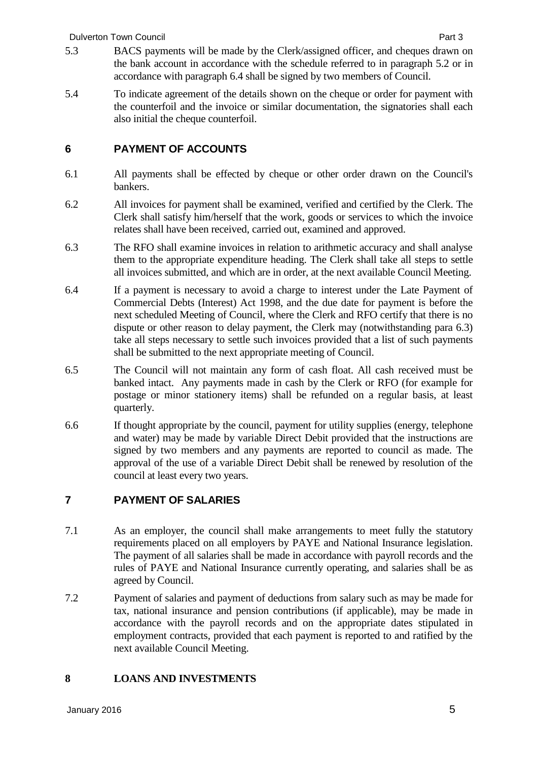- 5.3 BACS payments will be made by the Clerk/assigned officer, and cheques drawn on the bank account in accordance with the schedule referred to in paragraph 5.2 or in accordance with paragraph 6.4 shall be signed by two members of Council.
- 5.4 To indicate agreement of the details shown on the cheque or order for payment with the counterfoil and the invoice or similar documentation, the signatories shall each also initial the cheque counterfoil.

## **6 PAYMENT OF ACCOUNTS**

- 6.1 All payments shall be effected by cheque or other order drawn on the Council's bankers.
- 6.2 All invoices for payment shall be examined, verified and certified by the Clerk. The Clerk shall satisfy him/herself that the work, goods or services to which the invoice relates shall have been received, carried out, examined and approved.
- 6.3 The RFO shall examine invoices in relation to arithmetic accuracy and shall analyse them to the appropriate expenditure heading. The Clerk shall take all steps to settle all invoices submitted, and which are in order, at the next available Council Meeting.
- 6.4 If a payment is necessary to avoid a charge to interest under the Late Payment of Commercial Debts (Interest) Act 1998, and the due date for payment is before the next scheduled Meeting of Council, where the Clerk and RFO certify that there is no dispute or other reason to delay payment, the Clerk may (notwithstanding para 6.3) take all steps necessary to settle such invoices provided that a list of such payments shall be submitted to the next appropriate meeting of Council.
- 6.5 The Council will not maintain any form of cash float. All cash received must be banked intact. Any payments made in cash by the Clerk or RFO (for example for postage or minor stationery items) shall be refunded on a regular basis, at least quarterly.
- 6.6 If thought appropriate by the council, payment for utility supplies (energy, telephone and water) may be made by variable Direct Debit provided that the instructions are signed by two members and any payments are reported to council as made. The approval of the use of a variable Direct Debit shall be renewed by resolution of the council at least every two years.

# **7 PAYMENT OF SALARIES**

- 7.1 As an employer, the council shall make arrangements to meet fully the statutory requirements placed on all employers by PAYE and National Insurance legislation. The payment of all salaries shall be made in accordance with payroll records and the rules of PAYE and National Insurance currently operating, and salaries shall be as agreed by Council.
- 7.2 Payment of salaries and payment of deductions from salary such as may be made for tax, national insurance and pension contributions (if applicable), may be made in accordance with the payroll records and on the appropriate dates stipulated in employment contracts, provided that each payment is reported to and ratified by the next available Council Meeting.

### **8 LOANS AND INVESTMENTS**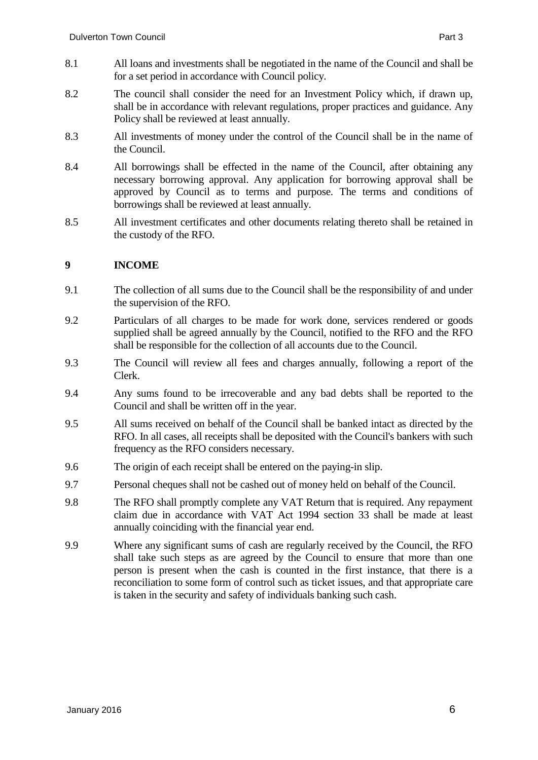- 8.1 All loans and investments shall be negotiated in the name of the Council and shall be for a set period in accordance with Council policy.
- 8.2 The council shall consider the need for an Investment Policy which, if drawn up, shall be in accordance with relevant regulations, proper practices and guidance. Any Policy shall be reviewed at least annually.
- 8.3 All investments of money under the control of the Council shall be in the name of the Council.
- 8.4 All borrowings shall be effected in the name of the Council, after obtaining any necessary borrowing approval. Any application for borrowing approval shall be approved by Council as to terms and purpose. The terms and conditions of borrowings shall be reviewed at least annually.
- 8.5 All investment certificates and other documents relating thereto shall be retained in the custody of the RFO.

#### **9 INCOME**

- 9.1 The collection of all sums due to the Council shall be the responsibility of and under the supervision of the RFO.
- 9.2 Particulars of all charges to be made for work done, services rendered or goods supplied shall be agreed annually by the Council, notified to the RFO and the RFO shall be responsible for the collection of all accounts due to the Council.
- 9.3 The Council will review all fees and charges annually, following a report of the Clerk.
- 9.4 Any sums found to be irrecoverable and any bad debts shall be reported to the Council and shall be written off in the year.
- 9.5 All sums received on behalf of the Council shall be banked intact as directed by the RFO. In all cases, all receipts shall be deposited with the Council's bankers with such frequency as the RFO considers necessary.
- 9.6 The origin of each receipt shall be entered on the paying-in slip.
- 9.7 Personal cheques shall not be cashed out of money held on behalf of the Council.
- 9.8 The RFO shall promptly complete any VAT Return that is required. Any repayment claim due in accordance with VAT Act 1994 section 33 shall be made at least annually coinciding with the financial year end.
- 9.9 Where any significant sums of cash are regularly received by the Council, the RFO shall take such steps as are agreed by the Council to ensure that more than one person is present when the cash is counted in the first instance, that there is a reconciliation to some form of control such as ticket issues, and that appropriate care is taken in the security and safety of individuals banking such cash.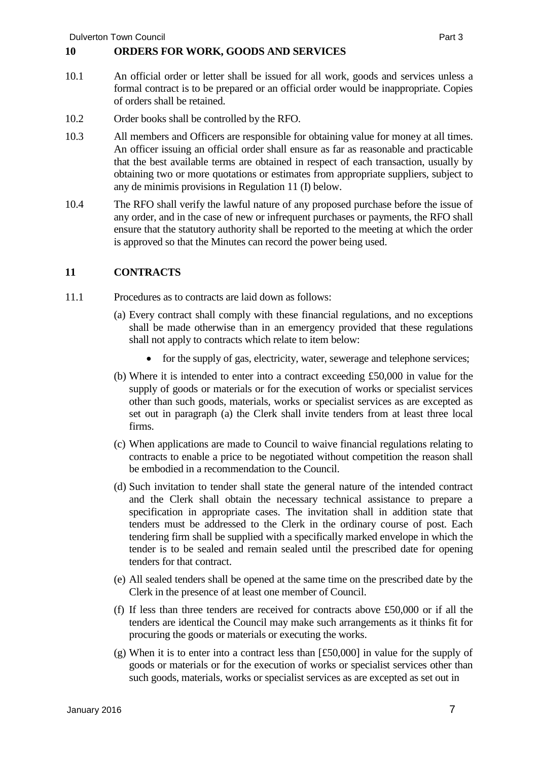#### **10 ORDERS FOR WORK, GOODS AND SERVICES**

- 10.1 An official order or letter shall be issued for all work, goods and services unless a formal contract is to be prepared or an official order would be inappropriate. Copies of orders shall be retained.
- 10.2 Order books shall be controlled by the RFO.
- 10.3 All members and Officers are responsible for obtaining value for money at all times. An officer issuing an official order shall ensure as far as reasonable and practicable that the best available terms are obtained in respect of each transaction, usually by obtaining two or more quotations or estimates from appropriate suppliers, subject to any de minimis provisions in Regulation 11 (I) below.
- 10.4 The RFO shall verify the lawful nature of any proposed purchase before the issue of any order, and in the case of new or infrequent purchases or payments, the RFO shall ensure that the statutory authority shall be reported to the meeting at which the order is approved so that the Minutes can record the power being used.

#### **11 CONTRACTS**

- 11.1 Procedures as to contracts are laid down as follows:
	- (a) Every contract shall comply with these financial regulations, and no exceptions shall be made otherwise than in an emergency provided that these regulations shall not apply to contracts which relate to item below:
		- for the supply of gas, electricity, water, sewerage and telephone services;
	- (b) Where it is intended to enter into a contract exceeding £50,000 in value for the supply of goods or materials or for the execution of works or specialist services other than such goods, materials, works or specialist services as are excepted as set out in paragraph (a) the Clerk shall invite tenders from at least three local firms.
	- (c) When applications are made to Council to waive financial regulations relating to contracts to enable a price to be negotiated without competition the reason shall be embodied in a recommendation to the Council.
	- (d) Such invitation to tender shall state the general nature of the intended contract and the Clerk shall obtain the necessary technical assistance to prepare a specification in appropriate cases. The invitation shall in addition state that tenders must be addressed to the Clerk in the ordinary course of post. Each tendering firm shall be supplied with a specifically marked envelope in which the tender is to be sealed and remain sealed until the prescribed date for opening tenders for that contract.
	- (e) All sealed tenders shall be opened at the same time on the prescribed date by the Clerk in the presence of at least one member of Council.
	- (f) If less than three tenders are received for contracts above £50,000 or if all the tenders are identical the Council may make such arrangements as it thinks fit for procuring the goods or materials or executing the works.
	- (g) When it is to enter into a contract less than [£50,000] in value for the supply of goods or materials or for the execution of works or specialist services other than such goods, materials, works or specialist services as are excepted as set out in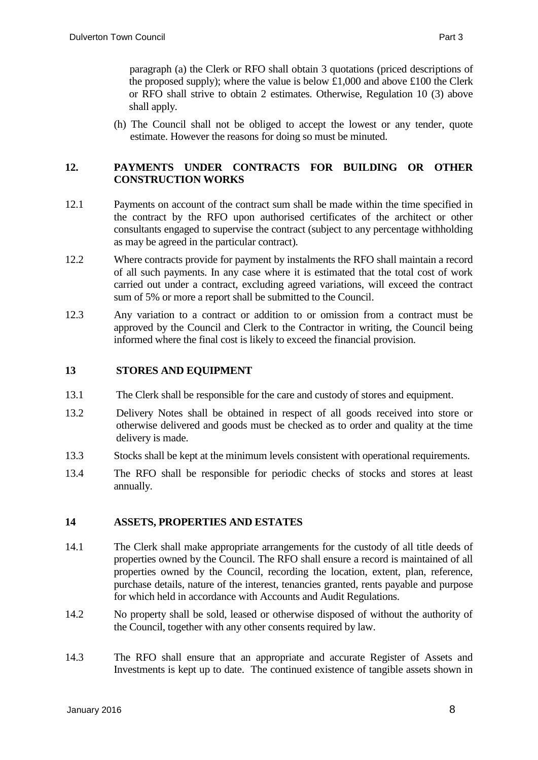paragraph (a) the Clerk or RFO shall obtain 3 quotations (priced descriptions of the proposed supply); where the value is below  $£1,000$  and above  $£100$  the Clerk or RFO shall strive to obtain 2 estimates. Otherwise, Regulation 10 (3) above shall apply.

(h) The Council shall not be obliged to accept the lowest or any tender, quote estimate. However the reasons for doing so must be minuted.

#### **12. PAYMENTS UNDER CONTRACTS FOR BUILDING OR OTHER CONSTRUCTION WORKS**

- 12.1 Payments on account of the contract sum shall be made within the time specified in the contract by the RFO upon authorised certificates of the architect or other consultants engaged to supervise the contract (subject to any percentage withholding as may be agreed in the particular contract).
- 12.2 Where contracts provide for payment by instalments the RFO shall maintain a record of all such payments. In any case where it is estimated that the total cost of work carried out under a contract, excluding agreed variations, will exceed the contract sum of 5% or more a report shall be submitted to the Council.
- 12.3 Any variation to a contract or addition to or omission from a contract must be approved by the Council and Clerk to the Contractor in writing, the Council being informed where the final cost is likely to exceed the financial provision.

#### **13 STORES AND EQUIPMENT**

- 13.1 The Clerk shall be responsible for the care and custody of stores and equipment.
- 13.2 Delivery Notes shall be obtained in respect of all goods received into store or otherwise delivered and goods must be checked as to order and quality at the time delivery is made.
- 13.3 Stocks shall be kept at the minimum levels consistent with operational requirements.
- 13.4 The RFO shall be responsible for periodic checks of stocks and stores at least annually.

#### **14 ASSETS, PROPERTIES AND ESTATES**

- 14.1 The Clerk shall make appropriate arrangements for the custody of all title deeds of properties owned by the Council. The RFO shall ensure a record is maintained of all properties owned by the Council, recording the location, extent, plan, reference, purchase details, nature of the interest, tenancies granted, rents payable and purpose for which held in accordance with Accounts and Audit Regulations.
- 14.2 No property shall be sold, leased or otherwise disposed of without the authority of the Council, together with any other consents required by law.
- 14.3 The RFO shall ensure that an appropriate and accurate Register of Assets and Investments is kept up to date. The continued existence of tangible assets shown in